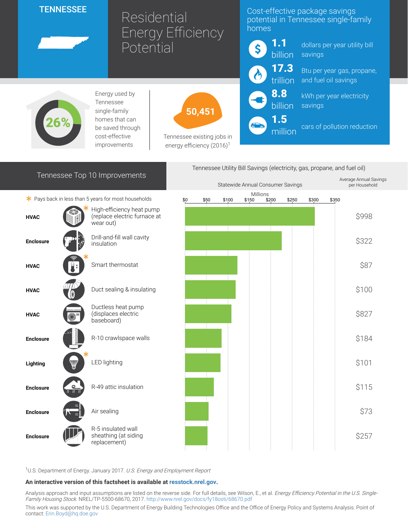## **TENNESSEE**

Residential Energy Efficiency **Potential** 

## Cost-effective package savings potential in Tennessee single-family homes

1.1 \$ billion 17.3 trillion 8.8 billion 1.5 million

dollars per year utility bill savings

Btu per year gas, propane, and fuel oil savings

kWh per year electricity savings

cars of pollution reduction



Energy used by Tennessee single-family homes that can be saved through cost-effective improvements



Tennessee existing jobs in energy efficiency  $(2016)^1$ 

| Tennessee Top 10 Improvements |  |
|-------------------------------|--|
|-------------------------------|--|





<sup>1</sup>U.S. Department of Energy. January 2017. U.S. Energy and Employment Report

## An interactive version of this factsheet is available at [resstock.nrel.gov.](https://resstock.nrel.gov/)

Analysis approach and input assumptions are listed on the reverse side. For full details, see Wilson, E., et al. Energy Efficiency Potential in the U.S. Single-Family Housing Stock. NREL/TP-5500-68670, 2017. <http://www.nrel.gov/docs/fy18osti/68670.pdf>

This work was supported by the U.S. Department of Energy Building Technologies Office and the Office of Energy Policy and Systems Analysis. Point of contact: [Erin.Boyd@hq.doe.gov](mailto:Erin.Boyd@hq.doe.gov)